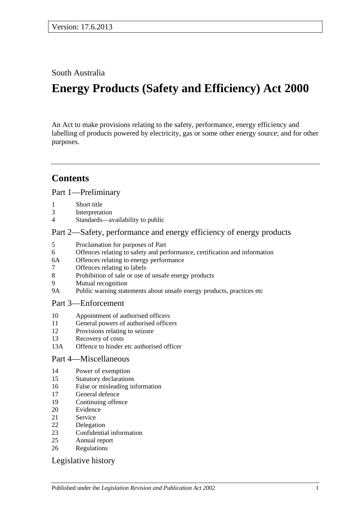South Australia

# **Energy Products (Safety and Efficiency) Act 2000**

An Act to make provisions relating to the safety, performance, energy efficiency and labelling of products powered by electricity, gas or some other energy source; and for other purposes.

# **Contents**

[Part 1—Preliminary](#page-1-0)

- 1 [Short title](#page-1-1)
- 3 [Interpretation](#page-1-2)
- 4 [Standards—availability to public](#page-2-0)

#### [Part 2—Safety, performance and energy efficiency of energy products](#page-2-1)

- 5 [Proclamation for purposes of Part](#page-2-2)
- 6 [Offences relating to safety and performance, certification and information](#page-3-0)
- 6A [Offences relating to energy performance](#page-3-1)
- 7 [Offences relating to labels](#page-4-0)
- 8 [Prohibition of sale or use of unsafe energy products](#page-5-0)
- 9 [Mutual recognition](#page-6-0)
- 9A [Public warning statements about unsafe energy products, practices etc](#page-6-1)

### Part [3—Enforcement](#page-7-0)

- 10 [Appointment of authorised officers](#page-7-1)
- 11 [General powers of authorised officers](#page-7-2)
- 12 [Provisions relating to seizure](#page-9-0)
- 13 [Recovery of costs](#page-11-0)
- 13A [Offence to hinder etc authorised officer](#page-11-1)

#### [Part 4—Miscellaneous](#page-11-2)

- 14 [Power of exemption](#page-11-3)
- 15 [Statutory declarations](#page-11-4)
- 16 [False or misleading information](#page-12-0)
- 17 [General defence](#page-12-1)
- 19 [Continuing offence](#page-12-2)
- 20 [Evidence](#page-12-3)
- 21 [Service](#page-13-0)
- 22 [Delegation](#page-13-1)
- 23 [Confidential information](#page-13-2)
- 25 [Annual report](#page-13-3)
- 26 [Regulations](#page-14-0)

#### [Legislative history](#page-15-0)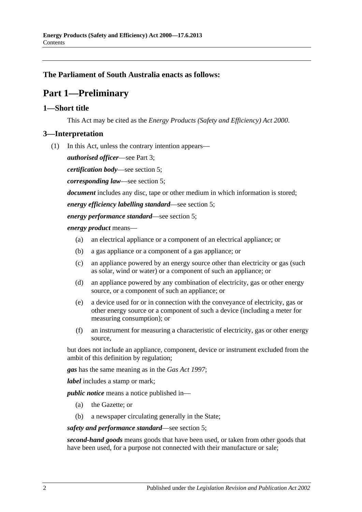#### <span id="page-1-0"></span>**The Parliament of South Australia enacts as follows:**

# **Part 1—Preliminary**

#### <span id="page-1-1"></span>**1—Short title**

This Act may be cited as the *Energy Products (Safety and Efficiency) Act 2000*.

#### <span id="page-1-2"></span>**3—Interpretation**

(1) In this Act, unless the contrary intention appears—

*authorised officer*—see [Part](#page-7-0) 3;

*certification body*—see [section](#page-2-2) 5;

*corresponding law*—see [section](#page-2-2) 5;

*document* includes any disc, tape or other medium in which information is stored;

*energy efficiency labelling standard*—see [section](#page-2-2) 5;

*energy performance standard*—see [section](#page-2-2) 5;

*energy product* means—

- (a) an electrical appliance or a component of an electrical appliance; or
- (b) a gas appliance or a component of a gas appliance; or
- (c) an appliance powered by an energy source other than electricity or gas (such as solar, wind or water) or a component of such an appliance; or
- (d) an appliance powered by any combination of electricity, gas or other energy source, or a component of such an appliance; or
- (e) a device used for or in connection with the conveyance of electricity, gas or other energy source or a component of such a device (including a meter for measuring consumption); or
- (f) an instrument for measuring a characteristic of electricity, gas or other energy source,

but does not include an appliance, component, device or instrument excluded from the ambit of this definition by regulation;

*gas* has the same meaning as in the *[Gas Act](http://www.legislation.sa.gov.au/index.aspx?action=legref&type=act&legtitle=Gas%20Act%201997) 1997*;

*label* includes a stamp or mark;

*public notice* means a notice published in—

- (a) the Gazette; or
- (b) a newspaper circulating generally in the State;

*safety and performance standard*—see [section](#page-2-2) 5;

*second-hand goods* means goods that have been used, or taken from other goods that have been used, for a purpose not connected with their manufacture or sale;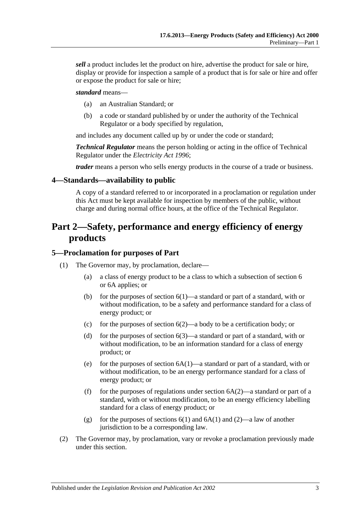*sell* a product includes let the product on hire, advertise the product for sale or hire, display or provide for inspection a sample of a product that is for sale or hire and offer or expose the product for sale or hire;

#### *standard* means—

- (a) an Australian Standard; or
- (b) a code or standard published by or under the authority of the Technical Regulator or a body specified by regulation,

and includes any document called up by or under the code or standard;

*Technical Regulator* means the person holding or acting in the office of Technical Regulator under the *[Electricity Act](http://www.legislation.sa.gov.au/index.aspx?action=legref&type=act&legtitle=Electricity%20Act%201996) 1996*;

*trader* means a person who sells energy products in the course of a trade or business.

#### <span id="page-2-0"></span>**4—Standards—availability to public**

A copy of a standard referred to or incorporated in a proclamation or regulation under this Act must be kept available for inspection by members of the public, without charge and during normal office hours, at the office of the Technical Regulator.

# <span id="page-2-1"></span>**Part 2—Safety, performance and energy efficiency of energy products**

#### <span id="page-2-2"></span>**5—Proclamation for purposes of Part**

- (1) The Governor may, by proclamation, declare—
	- (a) a class of energy product to be a class to which a subsection of [section](#page-3-0) 6 or [6A](#page-3-1) applies; or
	- (b) for the purposes of [section](#page-3-2)  $6(1)$ —a standard or part of a standard, with or without modification, to be a safety and performance standard for a class of energy product; or
	- (c) for the purposes of [section](#page-3-3)  $6(2)$ —a body to be a certification body; or
	- (d) for the purposes of [section](#page-3-4)  $6(3)$ —a standard or part of a standard, with or without modification, to be an information standard for a class of energy product; or
	- (e) for the purposes of [section](#page-3-5)  $6A(1)$ —a standard or part of a standard, with or without modification, to be an energy performance standard for a class of energy product; or
	- (f) for the purposes of regulations under [section](#page-4-1)  $6A(2)$ —a standard or part of a standard, with or without modification, to be an energy efficiency labelling standard for a class of energy product; or
	- (g) for the purposes of [sections](#page-3-2)  $6(1)$  and  $6A(1)$  and  $(2)$ —a law of another jurisdiction to be a corresponding law.
- (2) The Governor may, by proclamation, vary or revoke a proclamation previously made under this section.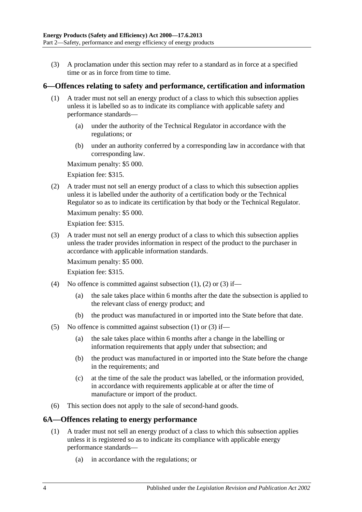(3) A proclamation under this section may refer to a standard as in force at a specified time or as in force from time to time.

### <span id="page-3-2"></span><span id="page-3-0"></span>**6—Offences relating to safety and performance, certification and information**

- (1) A trader must not sell an energy product of a class to which this subsection applies unless it is labelled so as to indicate its compliance with applicable safety and performance standards—
	- (a) under the authority of the Technical Regulator in accordance with the regulations; or
	- (b) under an authority conferred by a corresponding law in accordance with that corresponding law.

Maximum penalty: \$5 000.

Expiation fee: \$315.

<span id="page-3-3"></span>(2) A trader must not sell an energy product of a class to which this subsection applies unless it is labelled under the authority of a certification body or the Technical Regulator so as to indicate its certification by that body or the Technical Regulator.

Maximum penalty: \$5 000.

Expiation fee: \$315.

<span id="page-3-4"></span>(3) A trader must not sell an energy product of a class to which this subsection applies unless the trader provides information in respect of the product to the purchaser in accordance with applicable information standards.

Maximum penalty: \$5 000.

Expiation fee: \$315.

- (4) No offence is committed against [subsection](#page-3-2)  $(1)$ ,  $(2)$  or  $(3)$  if—
	- (a) the sale takes place within 6 months after the date the subsection is applied to the relevant class of energy product; and
	- (b) the product was manufactured in or imported into the State before that date.
- (5) No offence is committed against [subsection](#page-3-2)  $(1)$  or  $(3)$  if—
	- (a) the sale takes place within 6 months after a change in the labelling or information requirements that apply under that subsection; and
	- (b) the product was manufactured in or imported into the State before the change in the requirements; and
	- (c) at the time of the sale the product was labelled, or the information provided, in accordance with requirements applicable at or after the time of manufacture or import of the product.
- (6) This section does not apply to the sale of second-hand goods.

# <span id="page-3-5"></span><span id="page-3-1"></span>**6A—Offences relating to energy performance**

- (1) A trader must not sell an energy product of a class to which this subsection applies unless it is registered so as to indicate its compliance with applicable energy performance standards—
	- (a) in accordance with the regulations; or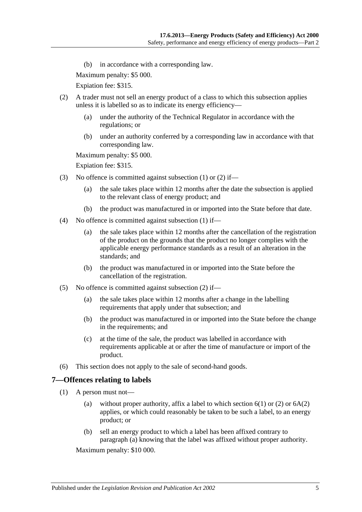(b) in accordance with a corresponding law.

Maximum penalty: \$5 000.

Expiation fee: \$315.

- <span id="page-4-1"></span>(2) A trader must not sell an energy product of a class to which this subsection applies unless it is labelled so as to indicate its energy efficiency—
	- (a) under the authority of the Technical Regulator in accordance with the regulations; or
	- (b) under an authority conferred by a corresponding law in accordance with that corresponding law.

Maximum penalty: \$5 000.

Expiation fee: \$315.

- (3) No offence is committed against [subsection](#page-3-5) (1) or [\(2\)](#page-4-1) if—
	- (a) the sale takes place within 12 months after the date the subsection is applied to the relevant class of energy product; and
	- (b) the product was manufactured in or imported into the State before that date.
- (4) No offence is committed against [subsection](#page-3-5) (1) if—
	- (a) the sale takes place within 12 months after the cancellation of the registration of the product on the grounds that the product no longer complies with the applicable energy performance standards as a result of an alteration in the standards; and
	- (b) the product was manufactured in or imported into the State before the cancellation of the registration.
- (5) No offence is committed against [subsection](#page-4-1) (2) if—
	- (a) the sale takes place within 12 months after a change in the labelling requirements that apply under that subsection; and
	- (b) the product was manufactured in or imported into the State before the change in the requirements; and
	- (c) at the time of the sale, the product was labelled in accordance with requirements applicable at or after the time of manufacture or import of the product.
- (6) This section does not apply to the sale of second-hand goods.

#### <span id="page-4-0"></span>**7—Offences relating to labels**

- <span id="page-4-2"></span>(1) A person must not
	- (a) without proper authority, affix a label to which [section](#page-3-2)  $6(1)$  or  $(2)$  or  $6A(2)$ applies, or which could reasonably be taken to be such a label, to an energy product; or
	- (b) sell an energy product to which a label has been affixed contrary to [paragraph](#page-4-2) (a) knowing that the label was affixed without proper authority.

Maximum penalty: \$10 000.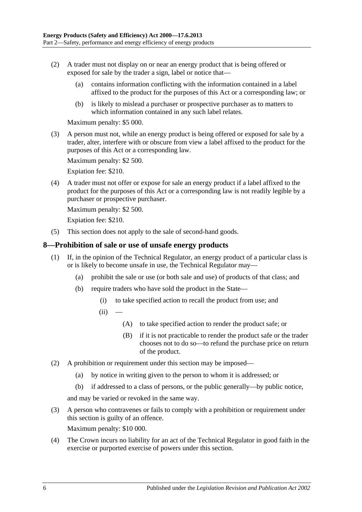- (2) A trader must not display on or near an energy product that is being offered or exposed for sale by the trader a sign, label or notice that—
	- (a) contains information conflicting with the information contained in a label affixed to the product for the purposes of this Act or a corresponding law; or
	- (b) is likely to mislead a purchaser or prospective purchaser as to matters to which information contained in any such label relates.

Maximum penalty: \$5 000.

(3) A person must not, while an energy product is being offered or exposed for sale by a trader, alter, interfere with or obscure from view a label affixed to the product for the purposes of this Act or a corresponding law.

Maximum penalty: \$2 500.

Expiation fee: \$210.

(4) A trader must not offer or expose for sale an energy product if a label affixed to the product for the purposes of this Act or a corresponding law is not readily legible by a purchaser or prospective purchaser.

Maximum penalty: \$2 500.

Expiation fee: \$210.

(5) This section does not apply to the sale of second-hand goods.

#### <span id="page-5-0"></span>**8—Prohibition of sale or use of unsafe energy products**

- (1) If, in the opinion of the Technical Regulator, an energy product of a particular class is or is likely to become unsafe in use, the Technical Regulator may—
	- (a) prohibit the sale or use (or both sale and use) of products of that class; and
	- (b) require traders who have sold the product in the State—
		- (i) to take specified action to recall the product from use; and
		- $(ii)$ 
			- (A) to take specified action to render the product safe; or
			- (B) if it is not practicable to render the product safe or the trader chooses not to do so—to refund the purchase price on return of the product.
- (2) A prohibition or requirement under this section may be imposed—
	- (a) by notice in writing given to the person to whom it is addressed; or
	- (b) if addressed to a class of persons, or the public generally—by public notice,

and may be varied or revoked in the same way.

- (3) A person who contravenes or fails to comply with a prohibition or requirement under this section is guilty of an offence. Maximum penalty: \$10 000.
- (4) The Crown incurs no liability for an act of the Technical Regulator in good faith in the exercise or purported exercise of powers under this section.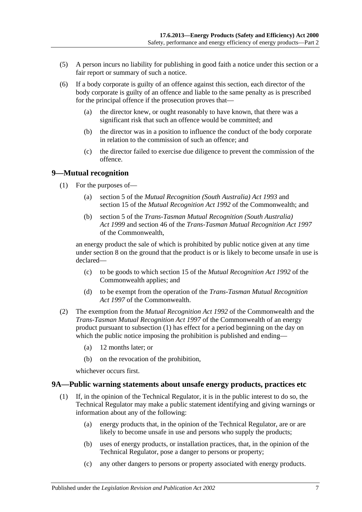- (5) A person incurs no liability for publishing in good faith a notice under this section or a fair report or summary of such a notice.
- <span id="page-6-3"></span>(6) If a body corporate is guilty of an offence against this section, each director of the body corporate is guilty of an offence and liable to the same penalty as is prescribed for the principal offence if the prosecution proves that—
	- (a) the director knew, or ought reasonably to have known, that there was a significant risk that such an offence would be committed; and
	- (b) the director was in a position to influence the conduct of the body corporate in relation to the commission of such an offence; and
	- (c) the director failed to exercise due diligence to prevent the commission of the offence.

#### <span id="page-6-2"></span><span id="page-6-0"></span>**9—Mutual recognition**

- (1) For the purposes of—
	- (a) section 5 of the *[Mutual Recognition \(South Australia\) Act](http://www.legislation.sa.gov.au/index.aspx?action=legref&type=act&legtitle=Mutual%20Recognition%20(South%20Australia)%20Act%201993) 1993* and section 15 of the *Mutual Recognition Act 1992* of the Commonwealth; and
	- (b) section 5 of the *[Trans-Tasman Mutual Recognition \(South Australia\)](http://www.legislation.sa.gov.au/index.aspx?action=legref&type=act&legtitle=Trans-Tasman%20Mutual%20Recognition%20(South%20Australia)%20Act%201999)  Act [1999](http://www.legislation.sa.gov.au/index.aspx?action=legref&type=act&legtitle=Trans-Tasman%20Mutual%20Recognition%20(South%20Australia)%20Act%201999)* and section 46 of the *Trans-Tasman Mutual Recognition Act 1997* of the Commonwealth,

an energy product the sale of which is prohibited by public notice given at any time under [section](#page-5-0) 8 on the ground that the product is or is likely to become unsafe in use is declared—

- (c) to be goods to which section 15 of the *Mutual Recognition Act 1992* of the Commonwealth applies; and
- (d) to be exempt from the operation of the *Trans-Tasman Mutual Recognition Act 1997* of the Commonwealth.
- (2) The exemption from the *Mutual Recognition Act 1992* of the Commonwealth and the *Trans-Tasman Mutual Recognition Act 1997* of the Commonwealth of an energy product pursuant to [subsection](#page-6-2) (1) has effect for a period beginning on the day on which the public notice imposing the prohibition is published and ending—
	- (a) 12 months later; or
	- (b) on the revocation of the prohibition,

whichever occurs first.

#### <span id="page-6-1"></span>**9A—Public warning statements about unsafe energy products, practices etc**

- (1) If, in the opinion of the Technical Regulator, it is in the public interest to do so, the Technical Regulator may make a public statement identifying and giving warnings or information about any of the following:
	- (a) energy products that, in the opinion of the Technical Regulator, are or are likely to become unsafe in use and persons who supply the products;
	- (b) uses of energy products, or installation practices, that, in the opinion of the Technical Regulator, pose a danger to persons or property;
	- (c) any other dangers to persons or property associated with energy products.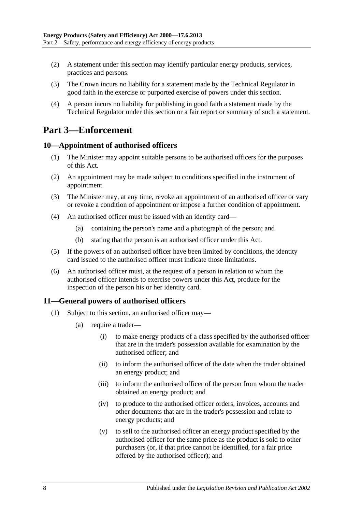- (2) A statement under this section may identify particular energy products, services, practices and persons.
- (3) The Crown incurs no liability for a statement made by the Technical Regulator in good faith in the exercise or purported exercise of powers under this section.
- (4) A person incurs no liability for publishing in good faith a statement made by the Technical Regulator under this section or a fair report or summary of such a statement.

# <span id="page-7-0"></span>**Part 3—Enforcement**

#### <span id="page-7-1"></span>**10—Appointment of authorised officers**

- (1) The Minister may appoint suitable persons to be authorised officers for the purposes of this Act.
- (2) An appointment may be made subject to conditions specified in the instrument of appointment.
- (3) The Minister may, at any time, revoke an appointment of an authorised officer or vary or revoke a condition of appointment or impose a further condition of appointment.
- (4) An authorised officer must be issued with an identity card—
	- (a) containing the person's name and a photograph of the person; and
	- (b) stating that the person is an authorised officer under this Act.
- (5) If the powers of an authorised officer have been limited by conditions, the identity card issued to the authorised officer must indicate those limitations.
- (6) An authorised officer must, at the request of a person in relation to whom the authorised officer intends to exercise powers under this Act, produce for the inspection of the person his or her identity card.

# <span id="page-7-3"></span><span id="page-7-2"></span>**11—General powers of authorised officers**

- (1) Subject to this section, an authorised officer may—
	- (a) require a trader—
		- (i) to make energy products of a class specified by the authorised officer that are in the trader's possession available for examination by the authorised officer; and
		- (ii) to inform the authorised officer of the date when the trader obtained an energy product; and
		- (iii) to inform the authorised officer of the person from whom the trader obtained an energy product; and
		- (iv) to produce to the authorised officer orders, invoices, accounts and other documents that are in the trader's possession and relate to energy products; and
		- (v) to sell to the authorised officer an energy product specified by the authorised officer for the same price as the product is sold to other purchasers (or, if that price cannot be identified, for a fair price offered by the authorised officer); and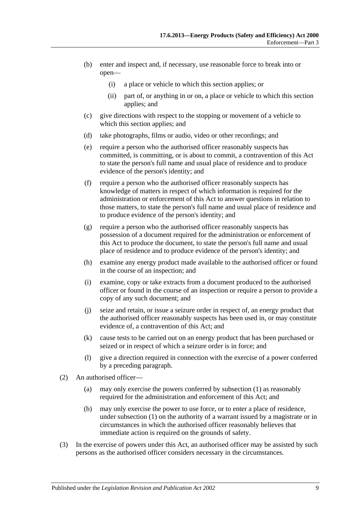- (b) enter and inspect and, if necessary, use reasonable force to break into or open—
	- (i) a place or vehicle to which this section applies; or
	- (ii) part of, or anything in or on, a place or vehicle to which this section applies; and
- (c) give directions with respect to the stopping or movement of a vehicle to which this section applies; and
- (d) take photographs, films or audio, video or other recordings; and
- (e) require a person who the authorised officer reasonably suspects has committed, is committing, or is about to commit, a contravention of this Act to state the person's full name and usual place of residence and to produce evidence of the person's identity; and
- (f) require a person who the authorised officer reasonably suspects has knowledge of matters in respect of which information is required for the administration or enforcement of this Act to answer questions in relation to those matters, to state the person's full name and usual place of residence and to produce evidence of the person's identity; and
- $(g)$  require a person who the authorised officer reasonably suspects has possession of a document required for the administration or enforcement of this Act to produce the document, to state the person's full name and usual place of residence and to produce evidence of the person's identity; and
- (h) examine any energy product made available to the authorised officer or found in the course of an inspection; and
- (i) examine, copy or take extracts from a document produced to the authorised officer or found in the course of an inspection or require a person to provide a copy of any such document; and
- (j) seize and retain, or issue a seizure order in respect of, an energy product that the authorised officer reasonably suspects has been used in, or may constitute evidence of, a contravention of this Act; and
- (k) cause tests to be carried out on an energy product that has been purchased or seized or in respect of which a seizure order is in force; and
- (l) give a direction required in connection with the exercise of a power conferred by a preceding paragraph.
- (2) An authorised officer—
	- (a) may only exercise the powers conferred by [subsection](#page-7-3) (1) as reasonably required for the administration and enforcement of this Act; and
	- (b) may only exercise the power to use force, or to enter a place of residence, under [subsection](#page-7-3) (1) on the authority of a warrant issued by a magistrate or in circumstances in which the authorised officer reasonably believes that immediate action is required on the grounds of safety.
- (3) In the exercise of powers under this Act, an authorised officer may be assisted by such persons as the authorised officer considers necessary in the circumstances.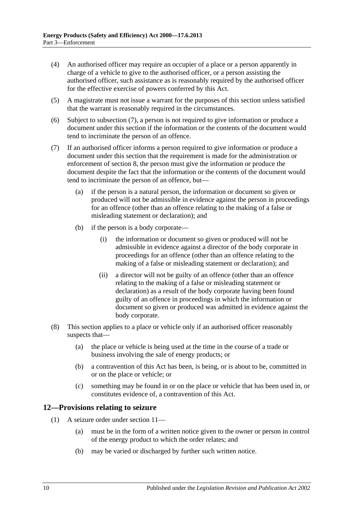- (4) An authorised officer may require an occupier of a place or a person apparently in charge of a vehicle to give to the authorised officer, or a person assisting the authorised officer, such assistance as is reasonably required by the authorised officer for the effective exercise of powers conferred by this Act.
- (5) A magistrate must not issue a warrant for the purposes of this section unless satisfied that the warrant is reasonably required in the circumstances.
- (6) Subject to [subsection](#page-9-1) (7), a person is not required to give information or produce a document under this section if the information or the contents of the document would tend to incriminate the person of an offence.
- <span id="page-9-1"></span>(7) If an authorised officer informs a person required to give information or produce a document under this section that the requirement is made for the administration or enforcement of [section](#page-5-0) 8, the person must give the information or produce the document despite the fact that the information or the contents of the document would tend to incriminate the person of an offence, but—
	- (a) if the person is a natural person, the information or document so given or produced will not be admissible in evidence against the person in proceedings for an offence (other than an offence relating to the making of a false or misleading statement or declaration); and
	- (b) if the person is a body corporate—
		- (i) the information or document so given or produced will not be admissible in evidence against a director of the body corporate in proceedings for an offence (other than an offence relating to the making of a false or misleading statement or declaration); and
		- (ii) a director will not be guilty of an offence (other than an offence relating to the making of a false or misleading statement or declaration) as a result of the body corporate having been found guilty of an offence in proceedings in which the information or document so given or produced was admitted in evidence against the body corporate.
- (8) This section applies to a place or vehicle only if an authorised officer reasonably suspects that—
	- (a) the place or vehicle is being used at the time in the course of a trade or business involving the sale of energy products; or
	- (b) a contravention of this Act has been, is being, or is about to be, committed in or on the place or vehicle; or
	- (c) something may be found in or on the place or vehicle that has been used in, or constitutes evidence of, a contravention of this Act.

#### <span id="page-9-0"></span>**12—Provisions relating to seizure**

- (1) A seizure order under [section](#page-7-2) 11—
	- (a) must be in the form of a written notice given to the owner or person in control of the energy product to which the order relates; and
	- (b) may be varied or discharged by further such written notice.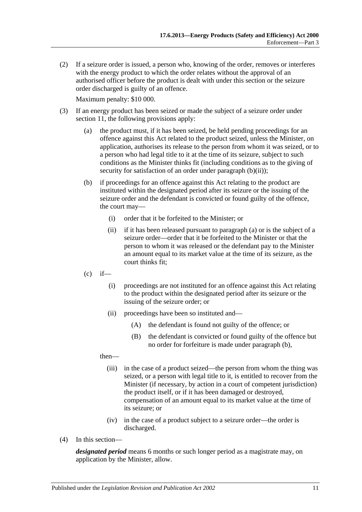(2) If a seizure order is issued, a person who, knowing of the order, removes or interferes with the energy product to which the order relates without the approval of an authorised officer before the product is dealt with under this section or the seizure order discharged is guilty of an offence.

Maximum penalty: \$10 000.

- <span id="page-10-2"></span><span id="page-10-1"></span><span id="page-10-0"></span>(3) If an energy product has been seized or made the subject of a seizure order under [section](#page-7-2) 11, the following provisions apply:
	- (a) the product must, if it has been seized, be held pending proceedings for an offence against this Act related to the product seized, unless the Minister, on application, authorises its release to the person from whom it was seized, or to a person who had legal title to it at the time of its seizure, subject to such conditions as the Minister thinks fit (including conditions as to the giving of security for satisfaction of an order under [paragraph](#page-10-0) (b)(ii));
	- (b) if proceedings for an offence against this Act relating to the product are instituted within the designated period after its seizure or the issuing of the seizure order and the defendant is convicted or found guilty of the offence, the court may—
		- (i) order that it be forfeited to the Minister; or
		- (ii) if it has been released pursuant to [paragraph](#page-10-1) (a) or is the subject of a seizure order—order that it be forfeited to the Minister or that the person to whom it was released or the defendant pay to the Minister an amount equal to its market value at the time of its seizure, as the court thinks fit;
	- $(c)$  if—
		- (i) proceedings are not instituted for an offence against this Act relating to the product within the designated period after its seizure or the issuing of the seizure order; or
		- (ii) proceedings have been so instituted and—
			- (A) the defendant is found not guilty of the offence; or
			- (B) the defendant is convicted or found guilty of the offence but no order for forfeiture is made under [paragraph](#page-10-2) (b),

#### then—

- (iii) in the case of a product seized—the person from whom the thing was seized, or a person with legal title to it, is entitled to recover from the Minister (if necessary, by action in a court of competent jurisdiction) the product itself, or if it has been damaged or destroyed, compensation of an amount equal to its market value at the time of its seizure; or
- (iv) in the case of a product subject to a seizure order—the order is discharged.
- (4) In this section—

*designated period* means 6 months or such longer period as a magistrate may, on application by the Minister, allow.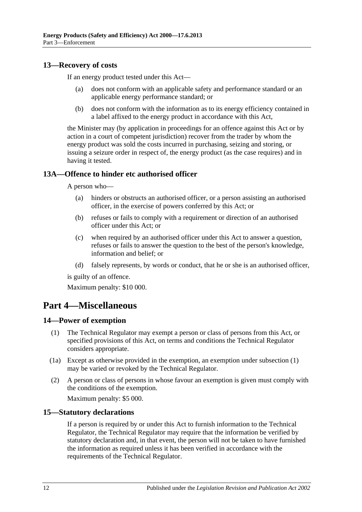#### <span id="page-11-0"></span>**13—Recovery of costs**

If an energy product tested under this Act—

- (a) does not conform with an applicable safety and performance standard or an applicable energy performance standard; or
- (b) does not conform with the information as to its energy efficiency contained in a label affixed to the energy product in accordance with this Act,

the Minister may (by application in proceedings for an offence against this Act or by action in a court of competent jurisdiction) recover from the trader by whom the energy product was sold the costs incurred in purchasing, seizing and storing, or issuing a seizure order in respect of, the energy product (as the case requires) and in having it tested.

### <span id="page-11-1"></span>**13A—Offence to hinder etc authorised officer**

A person who—

- (a) hinders or obstructs an authorised officer, or a person assisting an authorised officer, in the exercise of powers conferred by this Act; or
- (b) refuses or fails to comply with a requirement or direction of an authorised officer under this Act; or
- (c) when required by an authorised officer under this Act to answer a question, refuses or fails to answer the question to the best of the person's knowledge, information and belief; or
- (d) falsely represents, by words or conduct, that he or she is an authorised officer,

is guilty of an offence.

Maximum penalty: \$10 000.

# <span id="page-11-2"></span>**Part 4—Miscellaneous**

#### <span id="page-11-5"></span><span id="page-11-3"></span>**14—Power of exemption**

- (1) The Technical Regulator may exempt a person or class of persons from this Act, or specified provisions of this Act, on terms and conditions the Technical Regulator considers appropriate.
- (1a) Except as otherwise provided in the exemption, an exemption under [subsection](#page-11-5) (1) may be varied or revoked by the Technical Regulator.
- (2) A person or class of persons in whose favour an exemption is given must comply with the conditions of the exemption.

Maximum penalty: \$5 000.

#### <span id="page-11-4"></span>**15—Statutory declarations**

If a person is required by or under this Act to furnish information to the Technical Regulator, the Technical Regulator may require that the information be verified by statutory declaration and, in that event, the person will not be taken to have furnished the information as required unless it has been verified in accordance with the requirements of the Technical Regulator.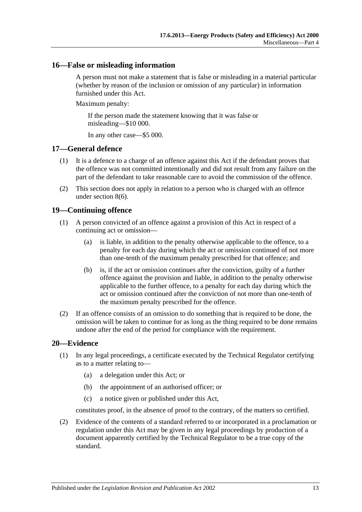#### <span id="page-12-0"></span>**16—False or misleading information**

A person must not make a statement that is false or misleading in a material particular (whether by reason of the inclusion or omission of any particular) in information furnished under this Act.

Maximum penalty:

If the person made the statement knowing that it was false or misleading—\$10 000.

In any other case—\$5 000.

#### <span id="page-12-1"></span>**17—General defence**

- (1) It is a defence to a charge of an offence against this Act if the defendant proves that the offence was not committed intentionally and did not result from any failure on the part of the defendant to take reasonable care to avoid the commission of the offence.
- (2) This section does not apply in relation to a person who is charged with an offence under [section](#page-6-3) 8(6).

#### <span id="page-12-2"></span>**19—Continuing offence**

- (1) A person convicted of an offence against a provision of this Act in respect of a continuing act or omission—
	- (a) is liable, in addition to the penalty otherwise applicable to the offence, to a penalty for each day during which the act or omission continued of not more than one-tenth of the maximum penalty prescribed for that offence; and
	- (b) is, if the act or omission continues after the conviction, guilty of a further offence against the provision and liable, in addition to the penalty otherwise applicable to the further offence, to a penalty for each day during which the act or omission continued after the conviction of not more than one-tenth of the maximum penalty prescribed for the offence.
- (2) If an offence consists of an omission to do something that is required to be done, the omission will be taken to continue for as long as the thing required to be done remains undone after the end of the period for compliance with the requirement.

#### <span id="page-12-3"></span>**20—Evidence**

- (1) In any legal proceedings, a certificate executed by the Technical Regulator certifying as to a matter relating to—
	- (a) a delegation under this Act; or
	- (b) the appointment of an authorised officer; or
	- (c) a notice given or published under this Act,

constitutes proof, in the absence of proof to the contrary, of the matters so certified.

(2) Evidence of the contents of a standard referred to or incorporated in a proclamation or regulation under this Act may be given in any legal proceedings by production of a document apparently certified by the Technical Regulator to be a true copy of the standard.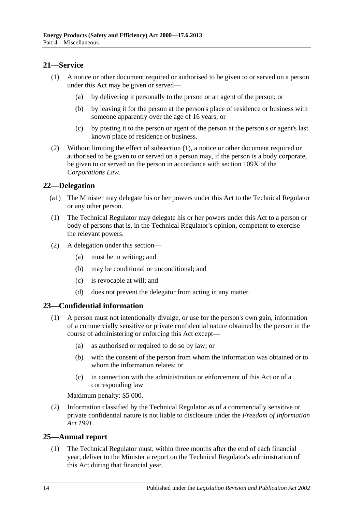### <span id="page-13-4"></span><span id="page-13-0"></span>**21—Service**

- (1) A notice or other document required or authorised to be given to or served on a person under this Act may be given or served—
	- (a) by delivering it personally to the person or an agent of the person; or
	- (b) by leaving it for the person at the person's place of residence or business with someone apparently over the age of 16 years; or
	- (c) by posting it to the person or agent of the person at the person's or agent's last known place of residence or business.
- (2) Without limiting the effect of [subsection](#page-13-4) (1), a notice or other document required or authorised to be given to or served on a person may, if the person is a body corporate, be given to or served on the person in accordance with section 109X of the *Corporations Law*.

#### <span id="page-13-1"></span>**22—Delegation**

- (a1) The Minister may delegate his or her powers under this Act to the Technical Regulator or any other person.
- (1) The Technical Regulator may delegate his or her powers under this Act to a person or body of persons that is, in the Technical Regulator's opinion, competent to exercise the relevant powers.
- (2) A delegation under this section—
	- (a) must be in writing; and
	- (b) may be conditional or unconditional; and
	- (c) is revocable at will; and
	- (d) does not prevent the delegator from acting in any matter.

#### <span id="page-13-2"></span>**23—Confidential information**

- (1) A person must not intentionally divulge, or use for the person's own gain, information of a commercially sensitive or private confidential nature obtained by the person in the course of administering or enforcing this Act except—
	- (a) as authorised or required to do so by law; or
	- (b) with the consent of the person from whom the information was obtained or to whom the information relates; or
	- (c) in connection with the administration or enforcement of this Act or of a corresponding law.

Maximum penalty: \$5 000.

(2) Information classified by the Technical Regulator as of a commercially sensitive or private confidential nature is not liable to disclosure under the *[Freedom of Information](http://www.legislation.sa.gov.au/index.aspx?action=legref&type=act&legtitle=Freedom%20of%20Information%20Act%201991)  Act [1991](http://www.legislation.sa.gov.au/index.aspx?action=legref&type=act&legtitle=Freedom%20of%20Information%20Act%201991)*.

#### <span id="page-13-3"></span>**25—Annual report**

(1) The Technical Regulator must, within three months after the end of each financial year, deliver to the Minister a report on the Technical Regulator's administration of this Act during that financial year.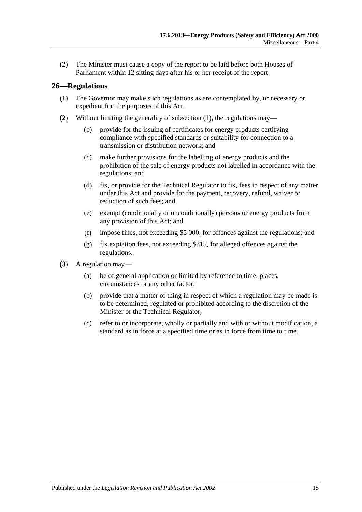(2) The Minister must cause a copy of the report to be laid before both Houses of Parliament within 12 sitting days after his or her receipt of the report.

#### <span id="page-14-1"></span><span id="page-14-0"></span>**26—Regulations**

- (1) The Governor may make such regulations as are contemplated by, or necessary or expedient for, the purposes of this Act.
- (2) Without limiting the generality of [subsection](#page-14-1) (1), the regulations may—
	- (b) provide for the issuing of certificates for energy products certifying compliance with specified standards or suitability for connection to a transmission or distribution network; and
	- (c) make further provisions for the labelling of energy products and the prohibition of the sale of energy products not labelled in accordance with the regulations; and
	- (d) fix, or provide for the Technical Regulator to fix, fees in respect of any matter under this Act and provide for the payment, recovery, refund, waiver or reduction of such fees; and
	- (e) exempt (conditionally or unconditionally) persons or energy products from any provision of this Act; and
	- (f) impose fines, not exceeding \$5 000, for offences against the regulations; and
	- (g) fix expiation fees, not exceeding \$315, for alleged offences against the regulations.
- (3) A regulation may—
	- (a) be of general application or limited by reference to time, places, circumstances or any other factor;
	- (b) provide that a matter or thing in respect of which a regulation may be made is to be determined, regulated or prohibited according to the discretion of the Minister or the Technical Regulator;
	- (c) refer to or incorporate, wholly or partially and with or without modification, a standard as in force at a specified time or as in force from time to time.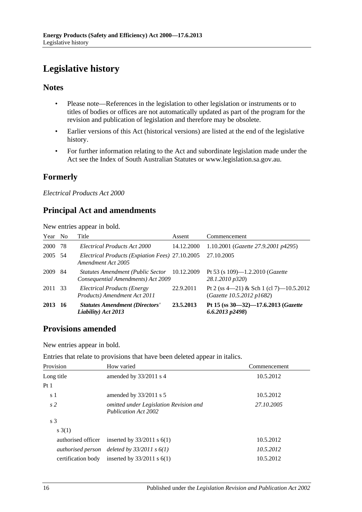# <span id="page-15-0"></span>**Legislative history**

### **Notes**

- Please note—References in the legislation to other legislation or instruments or to titles of bodies or offices are not automatically updated as part of the program for the revision and publication of legislation and therefore may be obsolete.
- Earlier versions of this Act (historical versions) are listed at the end of the legislative history.
- For further information relating to the Act and subordinate legislation made under the Act see the Index of South Australian Statutes or www.legislation.sa.gov.au.

# **Formerly**

*Electrical Products Act 2000*

# **Principal Act and amendments**

New entries appear in bold.

| Year No |     | Title                                                                              | Assent     | Commencement                                                         |
|---------|-----|------------------------------------------------------------------------------------|------------|----------------------------------------------------------------------|
| 2000    | 78  | Electrical Products Act 2000                                                       | 14.12.2000 | 1.10.2001 ( <i>Gazette</i> 27.9.2001 p4295)                          |
| 2005    | -54 | Electrical Products (Expiation Fees) 27.10.2005<br>Amendment Act 2005              |            | 27.10.2005                                                           |
| 2009    | -84 | Statutes Amendment (Public Sector 10.12.2009<br>Consequential Amendments) Act 2009 |            | Pt 53 (s 109)—1.2.2010 ( <i>Gazette</i><br>28.1.2010 p320)           |
| 2011    | 33  | Electrical Products (Energy<br>Products) Amendment Act 2011                        | 22.9.2011  | Pt 2 (ss 4—21) & Sch 1 (cl 7)—10.5.2012<br>(Gazette 10.5.2012 p1682) |
| 2013    | -16 | <b>Statutes Amendment (Directors'</b><br>Liability) Act 2013                       | 23.5.2013  | Pt 15 (ss 30–32)–17.6.2013 (Gazette<br>$6.6.2013$ $p2498$ )          |

# **Provisions amended**

New entries appear in bold.

Entries that relate to provisions that have been deleted appear in italics.

| Provision          | How varied                                                     | Commencement |
|--------------------|----------------------------------------------------------------|--------------|
| Long title         | amended by 33/2011 s 4                                         | 10.5.2012    |
| Pt1                |                                                                |              |
| s 1                | amended by $33/2011$ s 5                                       | 10.5.2012    |
| s <sub>2</sub>     | omitted under Legislation Revision and<br>Publication Act 2002 | 27.10.2005   |
| s <sub>3</sub>     |                                                                |              |
| s(3(1))            |                                                                |              |
| authorised officer | inserted by $33/2011$ s $6(1)$                                 | 10.5.2012    |
|                    | authorised person deleted by $33/2011$ s $6(1)$                | 10.5.2012    |
| certification body | inserted by $33/2011$ s $6(1)$                                 | 10.5.2012    |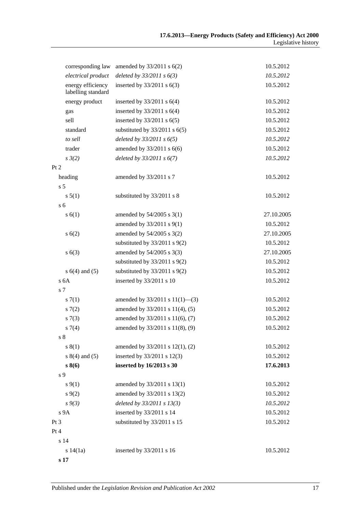|                    | corresponding law                       | amended by $33/2011$ s $6(2)$       | 10.5.2012  |
|--------------------|-----------------------------------------|-------------------------------------|------------|
|                    | electrical product                      | deleted by $33/2011 s 6(3)$         | 10.5.2012  |
|                    | energy efficiency<br>labelling standard | inserted by $33/2011$ s $6(3)$      | 10.5.2012  |
|                    | energy product                          | inserted by $33/2011$ s $6(4)$      | 10.5.2012  |
| gas                |                                         | inserted by $33/2011$ s $6(4)$      | 10.5.2012  |
| sell               |                                         | inserted by $33/2011$ s $6(5)$      | 10.5.2012  |
| standard           |                                         | substituted by $33/2011$ s $6(5)$   | 10.5.2012  |
| to sell            |                                         | deleted by $33/2011$ s $6(5)$       | 10.5.2012  |
| trader             |                                         | amended by 33/2011 s 6(6)           | 10.5.2012  |
| $s \frac{3}{2}$    |                                         | deleted by $33/2011 s 6(7)$         | 10.5.2012  |
| Pt 2               |                                         |                                     |            |
| heading            |                                         | amended by 33/2011 s 7              | 10.5.2012  |
| s <sub>5</sub>     |                                         |                                     |            |
| s 5(1)             |                                         | substituted by 33/2011 s 8          | 10.5.2012  |
| s <sub>6</sub>     |                                         |                                     |            |
| s(6(1))            |                                         | amended by $54/2005$ s $3(1)$       | 27.10.2005 |
|                    |                                         | amended by 33/2011 s 9(1)           | 10.5.2012  |
| s(6(2)             |                                         | amended by 54/2005 s 3(2)           | 27.10.2005 |
|                    |                                         | substituted by $33/2011$ s $9(2)$   | 10.5.2012  |
| s(6(3))            |                                         | amended by 54/2005 s 3(3)           | 27.10.2005 |
|                    |                                         | substituted by $33/2011$ s $9(2)$   | 10.5.2012  |
| $s 6(4)$ and $(5)$ |                                         | substituted by $33/2011$ s $9(2)$   | 10.5.2012  |
| s <sub>6A</sub>    |                                         | inserted by 33/2011 s 10            | 10.5.2012  |
| s <sub>7</sub>     |                                         |                                     |            |
| s(7(1)             |                                         | amended by $33/2011$ s $11(1)$ —(3) | 10.5.2012  |
| 57(2)              |                                         | amended by 33/2011 s 11(4), (5)     | 10.5.2012  |
| s(7(3))            |                                         | amended by 33/2011 s 11(6), (7)     | 10.5.2012  |
| s7(4)              |                                         | amended by 33/2011 s 11(8), (9)     | 10.5.2012  |
| $\sqrt{s}$ 8       |                                         |                                     |            |
| s(1)               |                                         | amended by 33/2011 s 12(1), (2)     | 10.5.2012  |
| $s 8(4)$ and (5)   |                                         | inserted by 33/2011 s 12(3)         | 10.5.2012  |
| $s\,8(6)$          |                                         | inserted by 16/2013 s 30            | 17.6.2013  |
| s 9                |                                         |                                     |            |
| $s \, 9(1)$        |                                         | amended by 33/2011 s 13(1)          | 10.5.2012  |
| s(9(2)             |                                         | amended by 33/2011 s 13(2)          | 10.5.2012  |
| $s \, 9(3)$        |                                         | deleted by $33/2011 s 13(3)$        | 10.5.2012  |
| s <sub>9A</sub>    |                                         | inserted by 33/2011 s 14            | 10.5.2012  |
| Pt 3               |                                         | substituted by 33/2011 s 15         | 10.5.2012  |
| Pt 4               |                                         |                                     |            |
| s 14               |                                         |                                     |            |
| s 14(1a)           |                                         | inserted by 33/2011 s 16            | 10.5.2012  |
| s 17               |                                         |                                     |            |